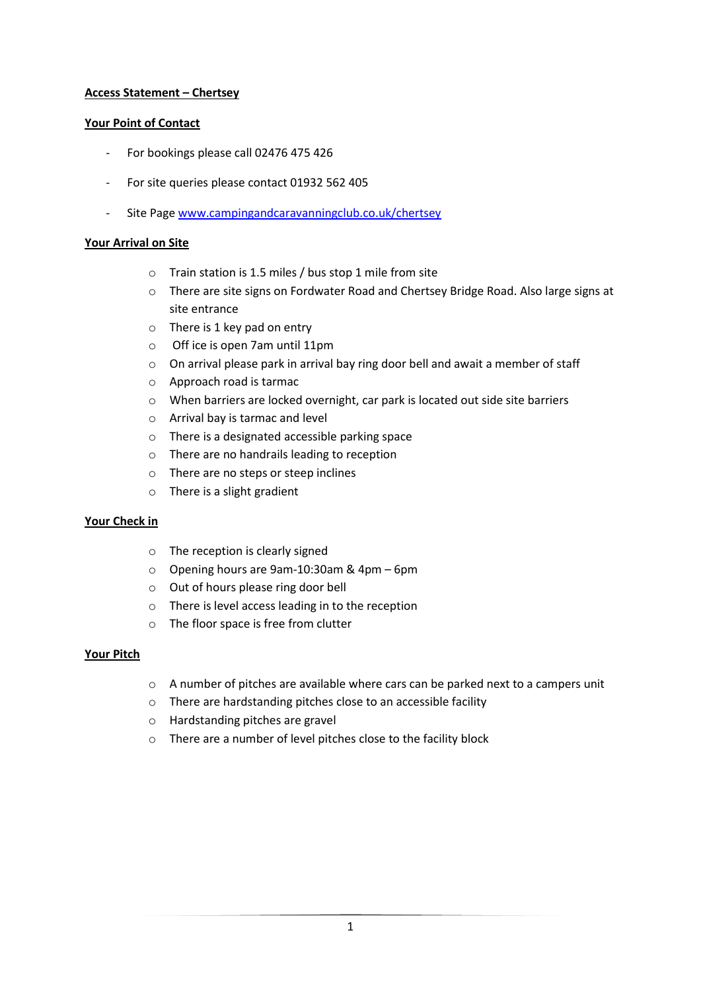# **Access Statement – Chertsey**

# **Your Point of Contact**

- For bookings please call 02476 475 426
- For site queries please contact 01932 562 405
- Site Page [www.campingandcaravanningclub.co.uk/chertsey](http://www.campingandcaravanningclub.co.uk/chertsey)

### **Your Arrival on Site**

- o Train station is 1.5 miles / bus stop 1 mile from site
- o There are site signs on Fordwater Road and Chertsey Bridge Road. Also large signs at site entrance
- $\circ$  There is 1 key pad on entry
- o Off ice is open 7am until 11pm
- o On arrival please park in arrival bay ring door bell and await a member of staff
- o Approach road is tarmac
- o When barriers are locked overnight, car park is located out side site barriers
- o Arrival bay is tarmac and level
- o There is a designated accessible parking space
- o There are no handrails leading to reception
- o There are no steps or steep inclines
- o There is a slight gradient

## **Your Check in**

- o The reception is clearly signed
- o Opening hours are 9am-10:30am & 4pm 6pm
- o Out of hours please ring door bell
- o There is level access leading in to the reception
- o The floor space is free from clutter

## **Your Pitch**

- o A number of pitches are available where cars can be parked next to a campers unit
- o There are hardstanding pitches close to an accessible facility
- o Hardstanding pitches are gravel
- o There are a number of level pitches close to the facility block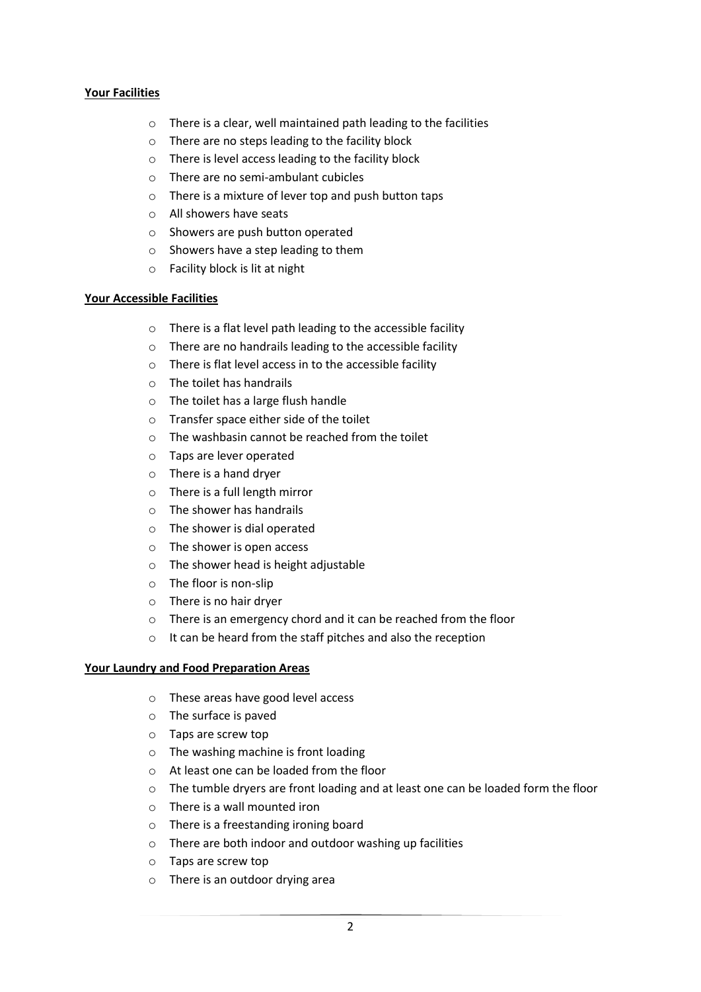# **Your Facilities**

- o There is a clear, well maintained path leading to the facilities
- o There are no steps leading to the facility block
- o There is level access leading to the facility block
- o There are no semi-ambulant cubicles
- o There is a mixture of lever top and push button taps
- o All showers have seats
- o Showers are push button operated
- o Showers have a step leading to them
- o Facility block is lit at night

## **Your Accessible Facilities**

- o There is a flat level path leading to the accessible facility
- o There are no handrails leading to the accessible facility
- o There is flat level access in to the accessible facility
- o The toilet has handrails
- o The toilet has a large flush handle
- o Transfer space either side of the toilet
- o The washbasin cannot be reached from the toilet
- o Taps are lever operated
- o There is a hand dryer
- o There is a full length mirror
- o The shower has handrails
- o The shower is dial operated
- o The shower is open access
- o The shower head is height adjustable
- o The floor is non-slip
- o There is no hair dryer
- o There is an emergency chord and it can be reached from the floor
- o It can be heard from the staff pitches and also the reception

## **Your Laundry and Food Preparation Areas**

- o These areas have good level access
- o The surface is paved
- o Taps are screw top
- o The washing machine is front loading
- o At least one can be loaded from the floor
- o The tumble dryers are front loading and at least one can be loaded form the floor
- o There is a wall mounted iron
- o There is a freestanding ironing board
- o There are both indoor and outdoor washing up facilities
- o Taps are screw top
- o There is an outdoor drying area